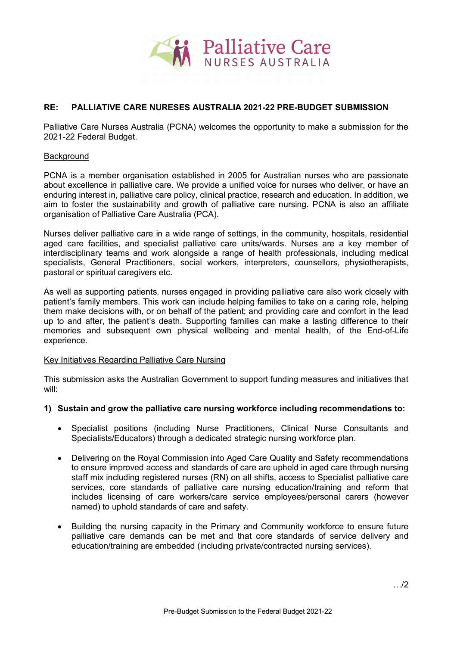

# **RE: PALLIATIVE CARE NURESES AUSTRALIA 2021-22 PRE-BUDGET SUBMISSION**

Palliative Care Nurses Australia (PCNA) welcomes the opportunity to make a submission for the 2021-22 Federal Budget.

### Background

PCNA is a member organisation established in 2005 for Australian nurses who are passionate about excellence in palliative care. We provide a unified voice for nurses who deliver, or have an enduring interest in, palliative care policy, clinical practice, research and education. In addition, we aim to foster the sustainability and growth of palliative care nursing. PCNA is also an affiliate organisation of Palliative Care Australia (PCA).

Nurses deliver palliative care in a wide range of settings, in the community, hospitals, residential aged care facilities, and specialist palliative care units/wards. Nurses are a key member of interdisciplinary teams and work alongside a range of health professionals, including medical specialists, General Practitioners, social workers, interpreters, counsellors, physiotherapists, pastoral or spiritual caregivers etc.

As well as supporting patients, nurses engaged in providing palliative care also work closely with patient's family members. This work can include helping families to take on a caring role, helping them make decisions with, or on behalf of the patient; and providing care and comfort in the lead up to and after, the patient's death. Supporting families can make a lasting difference to their memories and subsequent own physical wellbeing and mental health, of the End-of-Life experience.

#### Key Initiatives Regarding Palliative Care Nursing

This submission asks the Australian Government to support funding measures and initiatives that will:

#### **1) Sustain and grow the palliative care nursing workforce including recommendations to:**

- Specialist positions (including Nurse Practitioners, Clinical Nurse Consultants and Specialists/Educators) through a dedicated strategic nursing workforce plan.
- Delivering on the Royal Commission into Aged Care Quality and Safety recommendations to ensure improved access and standards of care are upheld in aged care through nursing staff mix including registered nurses (RN) on all shifts, access to Specialist palliative care services, core standards of palliative care nursing education/training and reform that includes licensing of care workers/care service employees/personal carers (however named) to uphold standards of care and safety.
- Building the nursing capacity in the Primary and Community workforce to ensure future palliative care demands can be met and that core standards of service delivery and education/training are embedded (including private/contracted nursing services).